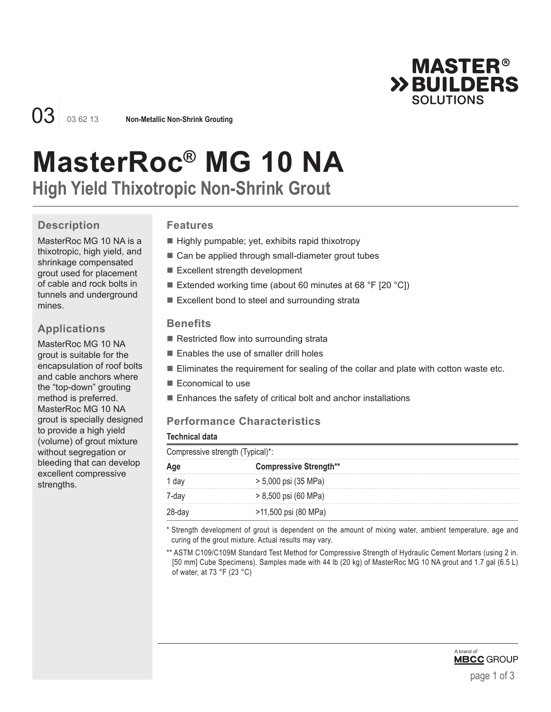

03 03 62 13 **Non-Metallic Non-Shrink Grouting**

# **MasterRoc® MG 10 NA**

**High Yield Thixotropic Non-Shrink Grout**

# **Description**

MasterRoc MG 10 NA is a thixotropic, high yield, and shrinkage compensated grout used for placement of cable and rock bolts in tunnels and underground mines.

# **Applications**

MasterRoc MG 10 NA grout is suitable for the encapsulation of roof bolts and cable anchors where the "top-down" grouting method is preferred. MasterRoc MG 10 NA grout is specially designed to provide a high yield (volume) of grout mixture without segregation or bleeding that can develop excellent compressive strengths.

# **Features**

- Highly pumpable; yet, exhibits rapid thixotropy
- Can be applied through small-diameter grout tubes
- Excellent strength development
- Extended working time (about 60 minutes at 68 °F [20 °C])
- Excellent bond to steel and surrounding strata

#### **Benefits**

- Restricted flow into surrounding strata
- Enables the use of smaller drill holes
- **Eliminates the requirement for sealing of the collar and plate with cotton waste etc.**
- Economical to use
- $\blacksquare$  Enhances the safety of critical bolt and anchor installations

# **Performance Characteristics**

|  | Technical data |
|--|----------------|
|  |                |

| Compressive strength (Typical)*: |                               |  |  |
|----------------------------------|-------------------------------|--|--|
|                                  | <b>Compressive Strength**</b> |  |  |
|                                  | > 5,000 psi (35 MPa)          |  |  |
|                                  | > 8,500 psi (60 MPa)          |  |  |
|                                  | >11,500 psi (80 MPa)          |  |  |

\* Strength development of grout is dependent on the amount of mixing water, ambient temperature, age and curing of the grout mixture. Actual results may vary.

\*\* ASTM C109/C109M Standard Test Method for Compressive Strength of Hydraulic Cement Mortars (using 2 in. [50 mm] Cube Specimens). Samples made with 44 lb (20 kg) of MasterRoc MG 10 NA grout and 1.7 gal (6.5 L) of water, at 73 °F (23 °C)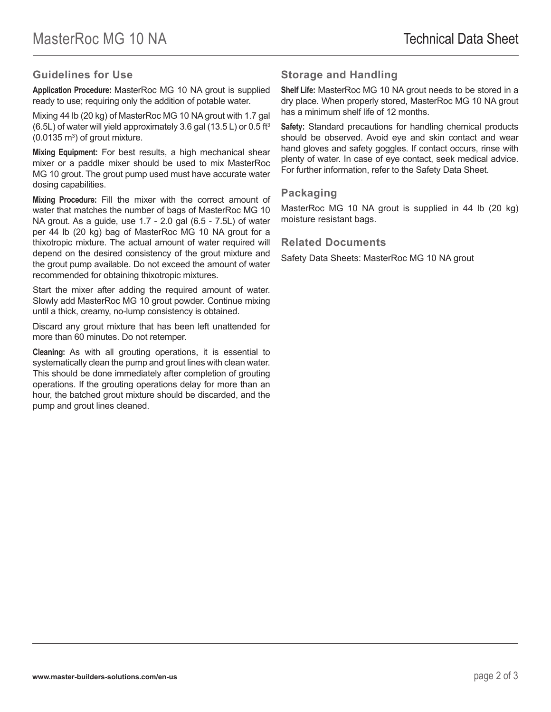#### **Guidelines for Use**

**Application Procedure:** MasterRoc MG 10 NA grout is supplied ready to use; requiring only the addition of potable water.

Mixing 44 lb (20 kg) of MasterRoc MG 10 NA grout with 1.7 gal (6.5L) of water will yield approximately 3.6 gal (13.5 L) or 0.5 ft<sup>3</sup>  $(0.0135 \text{ m}^3)$  of grout mixture.

**Mixing Equipment:** For best results, a high mechanical shear mixer or a paddle mixer should be used to mix MasterRoc MG 10 grout. The grout pump used must have accurate water dosing capabilities.

**Mixing Procedure:** Fill the mixer with the correct amount of water that matches the number of bags of MasterRoc MG 10 NA grout. As a guide, use 1.7 - 2.0 gal (6.5 - 7.5L) of water per 44 lb (20 kg) bag of MasterRoc MG 10 NA grout for a thixotropic mixture. The actual amount of water required will depend on the desired consistency of the grout mixture and the grout pump available. Do not exceed the amount of water recommended for obtaining thixotropic mixtures.

Start the mixer after adding the required amount of water. Slowly add MasterRoc MG 10 grout powder. Continue mixing until a thick, creamy, no-lump consistency is obtained.

Discard any grout mixture that has been left unattended for more than 60 minutes. Do not retemper.

**Cleaning:** As with all grouting operations, it is essential to systematically clean the pump and grout lines with clean water. This should be done immediately after completion of grouting operations. If the grouting operations delay for more than an hour, the batched grout mixture should be discarded, and the pump and grout lines cleaned.

### **Storage and Handling**

**Shelf Life:** MasterRoc MG 10 NA grout needs to be stored in a dry place. When properly stored, MasterRoc MG 10 NA grout has a minimum shelf life of 12 months.

**Safety:** Standard precautions for handling chemical products should be observed. Avoid eye and skin contact and wear hand gloves and safety goggles. If contact occurs, rinse with plenty of water. In case of eye contact, seek medical advice. For further information, refer to the Safety Data Sheet.

#### **Packaging**

MasterRoc MG 10 NA grout is supplied in 44 lb (20 kg) moisture resistant bags.

#### **Related Documents**

Safety Data Sheets: MasterRoc MG 10 NA grout